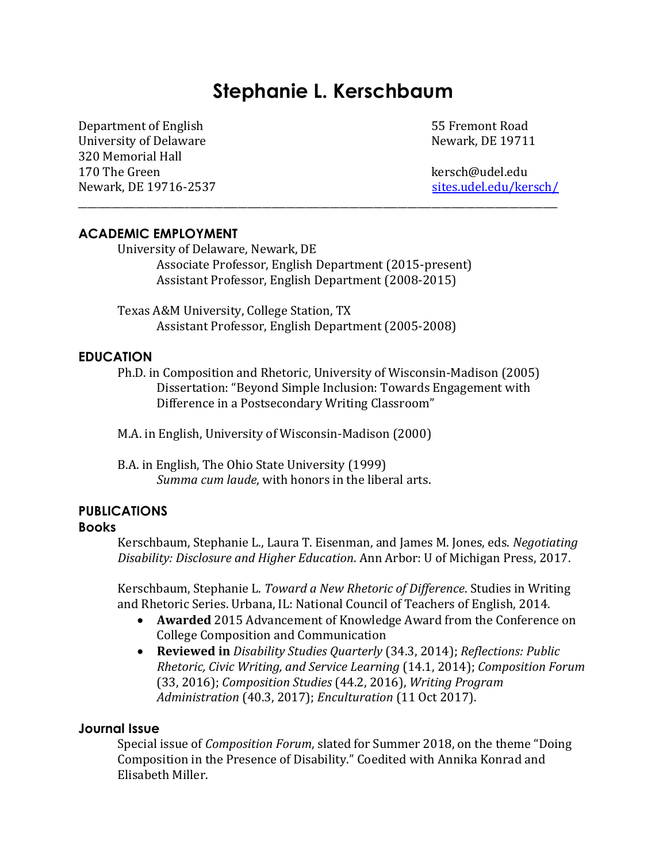# **Stephanie L. Kerschbaum**

Department of English 55 Fremont Road University of Delaware Newark, DE 19711 320 Memorial Hall 170 The Green kersch@udel.edu Newark, DE 19716-2537 [sites.udel.edu/kersch/](http://sites.udel.edu/kersch/)

## **ACADEMIC EMPLOYMENT**

University of Delaware, Newark, DE Associate Professor, English Department (2015-present) Assistant Professor, English Department (2008-2015)

\_\_\_\_\_\_\_\_\_\_\_\_\_\_\_\_\_\_\_\_\_\_\_\_\_\_\_\_\_\_\_\_\_\_\_\_\_\_\_\_\_\_\_\_\_\_\_\_\_\_\_\_\_\_\_\_\_\_\_\_\_\_\_\_\_\_\_\_\_\_\_\_\_\_\_\_\_\_\_\_\_\_\_\_\_\_\_\_\_\_\_\_\_\_\_\_\_\_\_

Texas A&M University, College Station, TX Assistant Professor, English Department (2005-2008)

## **EDUCATION**

Ph.D. in Composition and Rhetoric, University of Wisconsin-Madison (2005) Dissertation: "Beyond Simple Inclusion: Towards Engagement with Difference in a Postsecondary Writing Classroom"

M.A. in English, University of Wisconsin-Madison (2000)

B.A. in English, The Ohio State University (1999) *Summa cum laude*, with honors in the liberal arts.

## **PUBLICATIONS**

#### **Books**

Kerschbaum, Stephanie L., Laura T. Eisenman, and James M. Jones, eds. *Negotiating Disability: Disclosure and Higher Education*. Ann Arbor: U of Michigan Press, 2017.

Kerschbaum, Stephanie L. *Toward a New Rhetoric of Difference*. Studies in Writing and Rhetoric Series. Urbana, IL: National Council of Teachers of English, 2014.

- **Awarded** 2015 Advancement of Knowledge Award from the Conference on College Composition and Communication
- **Reviewed in** *Disability Studies Quarterly* (34.3, 2014); *Reflections: Public Rhetoric, Civic Writing, and Service Learning* (14.1, 2014); *Composition Forum* (33, 2016); *Composition Studies* (44.2, 2016), *Writing Program Administration* (40.3, 2017); *Enculturation* (11 Oct 2017).

#### **Journal Issue**

Special issue of *Composition Forum*, slated for Summer 2018, on the theme "Doing Composition in the Presence of Disability." Coedited with Annika Konrad and Elisabeth Miller.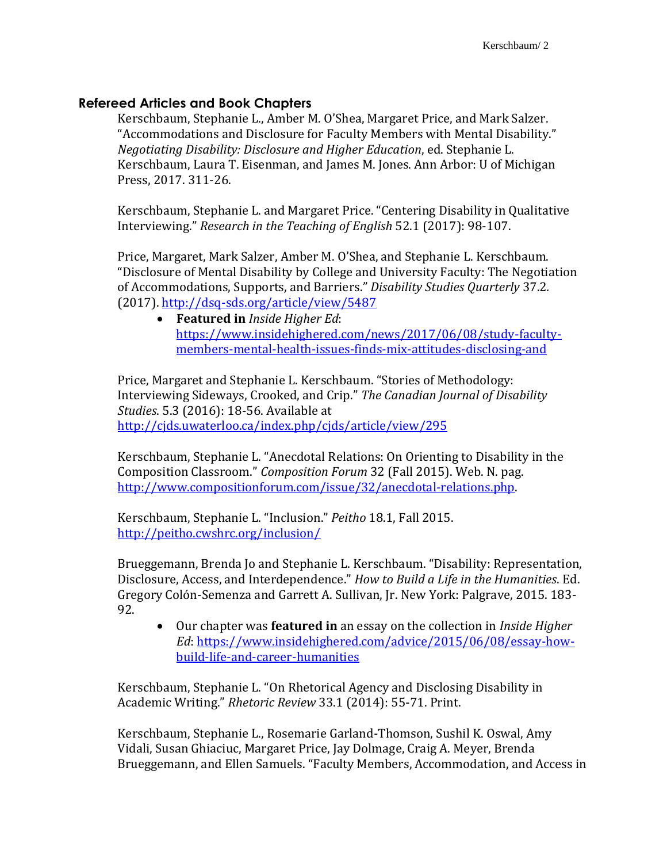# **Refereed Articles and Book Chapters**

Kerschbaum, Stephanie L., Amber M. O'Shea, Margaret Price, and Mark Salzer. "Accommodations and Disclosure for Faculty Members with Mental Disability." *Negotiating Disability: Disclosure and Higher Education*, ed. Stephanie L. Kerschbaum, Laura T. Eisenman, and James M. Jones. Ann Arbor: U of Michigan Press, 2017. 311-26.

Kerschbaum, Stephanie L. and Margaret Price. "Centering Disability in Qualitative Interviewing." *Research in the Teaching of English* 52.1 (2017): 98-107.

Price, Margaret, Mark Salzer, Amber M. O'Shea, and Stephanie L. Kerschbaum. "Disclosure of Mental Disability by College and University Faculty: The Negotiation of Accommodations, Supports, and Barriers." *Disability Studies Quarterly* 37.2*.* (2017). <http://dsq-sds.org/article/view/5487>

 **Featured in** *Inside Higher Ed*: [https://www.insidehighered.com/news/2017/06/08/study-faculty](https://www.insidehighered.com/news/2017/06/08/study-faculty-members-mental-health-issues-finds-mix-attitudes-disclosing-and)[members-mental-health-issues-finds-mix-attitudes-disclosing-and](https://www.insidehighered.com/news/2017/06/08/study-faculty-members-mental-health-issues-finds-mix-attitudes-disclosing-and)

Price, Margaret and Stephanie L. Kerschbaum. "Stories of Methodology: Interviewing Sideways, Crooked, and Crip." *The Canadian Journal of Disability Studies*. 5.3 (2016): 18-56. Available at <http://cjds.uwaterloo.ca/index.php/cjds/article/view/295>

Kerschbaum, Stephanie L. "Anecdotal Relations: On Orienting to Disability in the Composition Classroom." *Composition Forum* 32 (Fall 2015). Web. N. pag. [http://www.compositionforum.com/issue/32/anecdotal-relations.php.](http://www.compositionforum.com/issue/32/anecdotal-relations.php)

Kerschbaum, Stephanie L. "Inclusion." *Peitho* 18.1, Fall 2015. <http://peitho.cwshrc.org/inclusion/>

Brueggemann, Brenda Jo and Stephanie L. Kerschbaum. "Disability: Representation, Disclosure, Access, and Interdependence." *How to Build a Life in the Humanities*. Ed. Gregory Colón-Semenza and Garrett A. Sullivan, Jr. New York: Palgrave, 2015. 183- 92.

 Our chapter was **featured in** an essay on the collection in *Inside Higher Ed*: [https://www.insidehighered.com/advice/2015/06/08/essay-how](https://www.insidehighered.com/advice/2015/06/08/essay-how-build-life-and-career-humanities)[build-life-and-career-humanities](https://www.insidehighered.com/advice/2015/06/08/essay-how-build-life-and-career-humanities)

Kerschbaum, Stephanie L. "On Rhetorical Agency and Disclosing Disability in Academic Writing." *Rhetoric Review* 33.1 (2014): 55-71. Print.

Kerschbaum, Stephanie L., Rosemarie Garland-Thomson, Sushil K. Oswal, Amy Vidali, Susan Ghiaciuc, Margaret Price, Jay Dolmage, Craig A. Meyer, Brenda Brueggemann, and Ellen Samuels. "Faculty Members, Accommodation, and Access in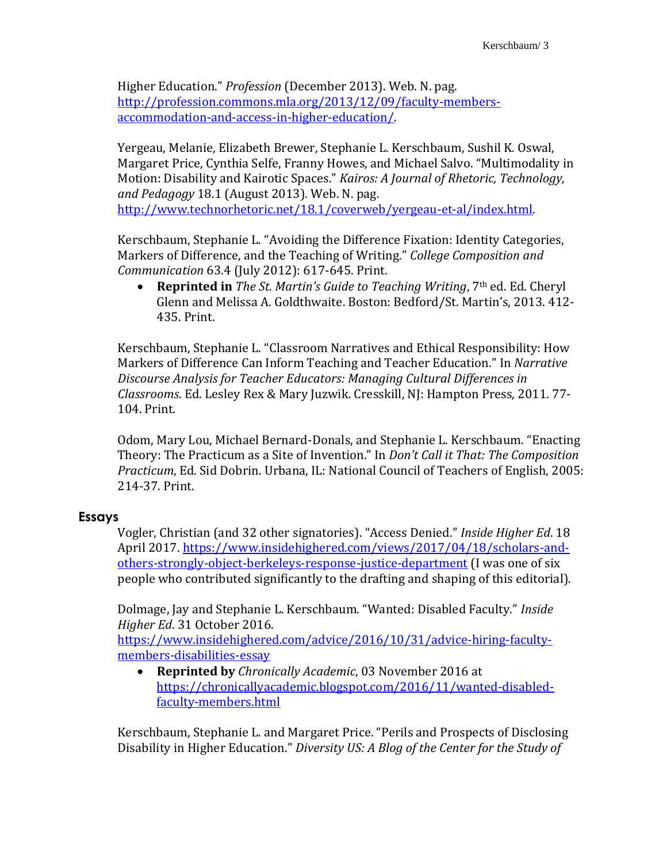Higher Education." *Profession* (December 2013). Web. N. pag. [http://profession.commons.mla.org/2013/12/09/faculty-members](http://profession.commons.mla.org/2013/12/09/faculty-members-accommodation-and-access-in-higher-education/)[accommodation-and-access-in-higher-education/.](http://profession.commons.mla.org/2013/12/09/faculty-members-accommodation-and-access-in-higher-education/)

Yergeau, Melanie, Elizabeth Brewer, Stephanie L. Kerschbaum, Sushil K. Oswal, Margaret Price, Cynthia Selfe, Franny Howes, and Michael Salvo. "Multimodality in Motion: Disability and Kairotic Spaces." *Kairos: A Journal of Rhetoric, Technology, and Pedagogy* 18.1 (August 2013)*.* Web. N. pag. [http://www.technorhetoric.net/18.1/coverweb/yergeau-et-al/index.html.](http://www.technorhetoric.net/18.1/coverweb/yergeau-et-al/index.html)

Kerschbaum, Stephanie L. "Avoiding the Difference Fixation: Identity Categories, Markers of Difference, and the Teaching of Writing." *College Composition and Communication* 63.4 (July 2012): 617-645. Print.

 **Reprinted in** *The St. Martin's Guide to Teaching Writing*, 7th ed. Ed. Cheryl Glenn and Melissa A. Goldthwaite. Boston: Bedford/St. Martin's, 2013. 412- 435. Print.

Kerschbaum, Stephanie L. "Classroom Narratives and Ethical Responsibility: How Markers of Difference Can Inform Teaching and Teacher Education." In *Narrative Discourse Analysis for Teacher Educators: Managing Cultural Differences in Classrooms*. Ed. Lesley Rex & Mary Juzwik. Cresskill, NJ: Hampton Press, 2011. 77- 104. Print.

Odom, Mary Lou, Michael Bernard-Donals, and Stephanie L. Kerschbaum. "Enacting Theory: The Practicum as a Site of Invention." In *Don't Call it That: The Composition Practicum*, Ed. Sid Dobrin. Urbana, IL: National Council of Teachers of English, 2005: 214-37. Print.

## **Essays**

Vogler, Christian (and 32 other signatories). "Access Denied." *Inside Higher Ed*. 18 April 2017. [https://www.insidehighered.com/views/2017/04/18/scholars-and](https://www.insidehighered.com/views/2017/04/18/scholars-and-others-strongly-object-berkeleys-response-justice-department)[others-strongly-object-berkeleys-response-justice-department](https://www.insidehighered.com/views/2017/04/18/scholars-and-others-strongly-object-berkeleys-response-justice-department) (I was one of six people who contributed significantly to the drafting and shaping of this editorial).

Dolmage, Jay and Stephanie L. Kerschbaum. "Wanted: Disabled Faculty." *Inside Higher Ed*. 31 October 2016.

[https://www.insidehighered.com/advice/2016/10/31/advice-hiring-faculty](https://www.insidehighered.com/advice/2016/10/31/advice-hiring-faculty-members-disabilities-essay)[members-disabilities-essay](https://www.insidehighered.com/advice/2016/10/31/advice-hiring-faculty-members-disabilities-essay)

 **Reprinted by** *Chronically Academic*, 03 November 2016 at [https://chronicallyacademic.blogspot.com/2016/11/wanted-disabled](https://chronicallyacademic.blogspot.com/2016/11/wanted-disabled-faculty-members.html)[faculty-members.html](https://chronicallyacademic.blogspot.com/2016/11/wanted-disabled-faculty-members.html)

Kerschbaum, Stephanie L. and Margaret Price. "Perils and Prospects of Disclosing Disability in Higher Education." *Diversity US: A Blog of the Center for the Study of*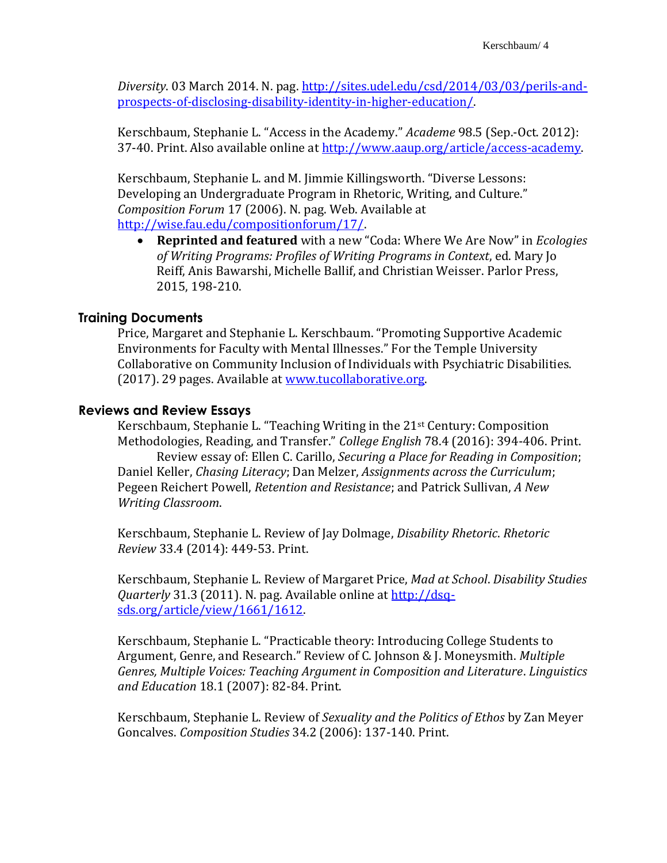*Diversity*. 03 March 2014. N. pag. [http://sites.udel.edu/csd/2014/03/03/perils-and](http://sites.udel.edu/csd/2014/03/03/perils-and-prospects-of-disclosing-disability-identity-in-higher-education/)[prospects-of-disclosing-disability-identity-in-higher-education/.](http://sites.udel.edu/csd/2014/03/03/perils-and-prospects-of-disclosing-disability-identity-in-higher-education/)

Kerschbaum, Stephanie L. "Access in the Academy." *Academe* 98.5 (Sep.-Oct. 2012): 37-40. Print. Also available online at [http://www.aaup.org/article/access-academy.](http://www.aaup.org/article/access-academy#.UccbIpxaFv0)

Kerschbaum, Stephanie L. and M. Jimmie Killingsworth. "Diverse Lessons: Developing an Undergraduate Program in Rhetoric, Writing, and Culture." *Composition Forum* 17 (2006). N. pag. Web. Available at [http://wise.fau.edu/compositionforum/17/.](http://wise.fau.edu/compositionforum/17/)

 **Reprinted and featured** with a new "Coda: Where We Are Now" in *Ecologies of Writing Programs: Profiles of Writing Programs in Context*, ed. Mary Jo Reiff, Anis Bawarshi, Michelle Ballif, and Christian Weisser. Parlor Press, 2015, 198-210.

## **Training Documents**

Price, Margaret and Stephanie L. Kerschbaum. "Promoting Supportive Academic Environments for Faculty with Mental Illnesses." For the Temple University Collaborative on Community Inclusion of Individuals with Psychiatric Disabilities. (2017). 29 pages. Available at [www.tucollaborative.org.](http://www.tucollaborative.org/)

## **Reviews and Review Essays**

Kerschbaum, Stephanie L. "Teaching Writing in the 21st Century: Composition Methodologies, Reading, and Transfer." *College English* 78.4 (2016): 394-406. Print. Review essay of: Ellen C. Carillo, *Securing a Place for Reading in Composition*; Daniel Keller, *Chasing Literacy*; Dan Melzer, *Assignments across the Curriculum*; Pegeen Reichert Powell, *Retention and Resistance*; and Patrick Sullivan, *A New Writing Classroom*.

Kerschbaum, Stephanie L. Review of Jay Dolmage, *Disability Rhetoric*. *Rhetoric Review* 33.4 (2014): 449-53. Print.

Kerschbaum, Stephanie L. Review of Margaret Price, *Mad at School*. *Disability Studies Quarterly* 31.3 (2011). N. pag. Available online at [http://dsq](http://dsq-sds.org/article/view/1661/1612)[sds.org/article/view/1661/1612.](http://dsq-sds.org/article/view/1661/1612)

Kerschbaum, Stephanie L. "Practicable theory: Introducing College Students to Argument, Genre, and Research." Review of C. Johnson & J. Moneysmith. *Multiple Genres, Multiple Voices: Teaching Argument in Composition and Literature*. *Linguistics and Education* 18.1 (2007): 82-84. Print.

Kerschbaum, Stephanie L. Review of *Sexuality and the Politics of Ethos* by Zan Meyer Goncalves. *Composition Studies* 34.2 (2006): 137-140. Print.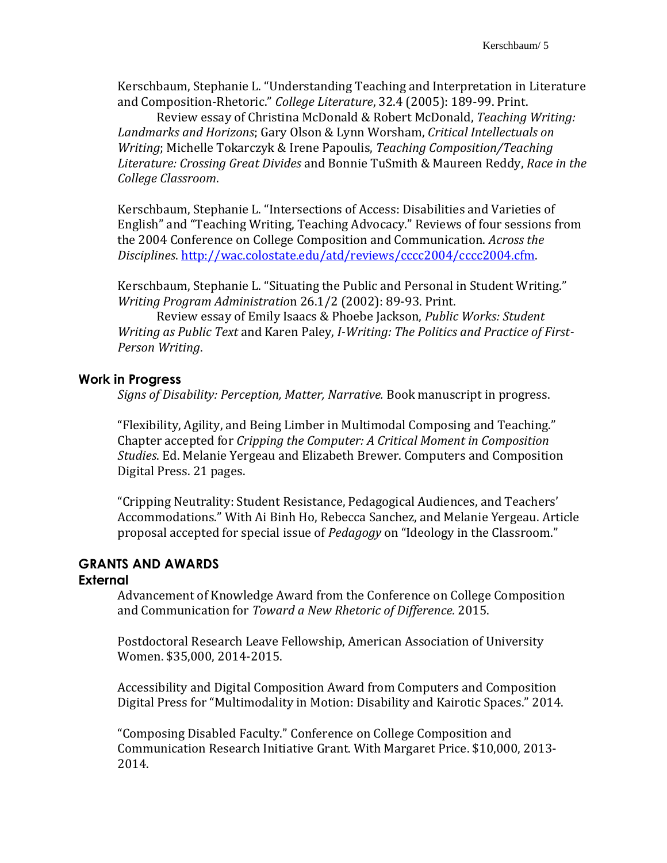Kerschbaum, Stephanie L. "Understanding Teaching and Interpretation in Literature and Composition-Rhetoric." *College Literature*, 32.4 (2005): 189-99. Print.

Review essay of Christina McDonald & Robert McDonald, *Teaching Writing: Landmarks and Horizons*; Gary Olson & Lynn Worsham, *Critical Intellectuals on Writing*; Michelle Tokarczyk & Irene Papoulis, *Teaching Composition/Teaching Literature: Crossing Great Divides* and Bonnie TuSmith & Maureen Reddy, *Race in the College Classroom*.

Kerschbaum, Stephanie L. "Intersections of Access: Disabilities and Varieties of English" and "Teaching Writing, Teaching Advocacy." Reviews of four sessions from the 2004 Conference on College Composition and Communication. *Across the Disciplines*. [http://wac.colostate.edu/atd/reviews/cccc2004/cccc2004.cfm.](http://wac.colostate.edu/atd/reviews/cccc2004/cccc2004.cfm)

Kerschbaum, Stephanie L. "Situating the Public and Personal in Student Writing." *Writing Program Administratio*n 26.1/2 (2002): 89-93. Print.

Review essay of Emily Isaacs & Phoebe Jackson, *Public Works: Student Writing as Public Text* and Karen Paley, *I-Writing: The Politics and Practice of First-Person Writing*.

## **Work in Progress**

*Signs of Disability: Perception, Matter, Narrative.* Book manuscript in progress.

"Flexibility, Agility, and Being Limber in Multimodal Composing and Teaching." Chapter accepted for *Cripping the Computer: A Critical Moment in Composition Studies*. Ed. Melanie Yergeau and Elizabeth Brewer. Computers and Composition Digital Press. 21 pages.

"Cripping Neutrality: Student Resistance, Pedagogical Audiences, and Teachers' Accommodations." With Ai Binh Ho, Rebecca Sanchez, and Melanie Yergeau. Article proposal accepted for special issue of *Pedagogy* on "Ideology in the Classroom."

# **GRANTS AND AWARDS**

## **External**

Advancement of Knowledge Award from the Conference on College Composition and Communication for *Toward a New Rhetoric of Difference.* 2015.

Postdoctoral Research Leave Fellowship, American Association of University Women. \$35,000, 2014-2015.

Accessibility and Digital Composition Award from Computers and Composition Digital Press for "Multimodality in Motion: Disability and Kairotic Spaces." 2014.

"Composing Disabled Faculty." Conference on College Composition and Communication Research Initiative Grant. With Margaret Price. \$10,000, 2013- 2014.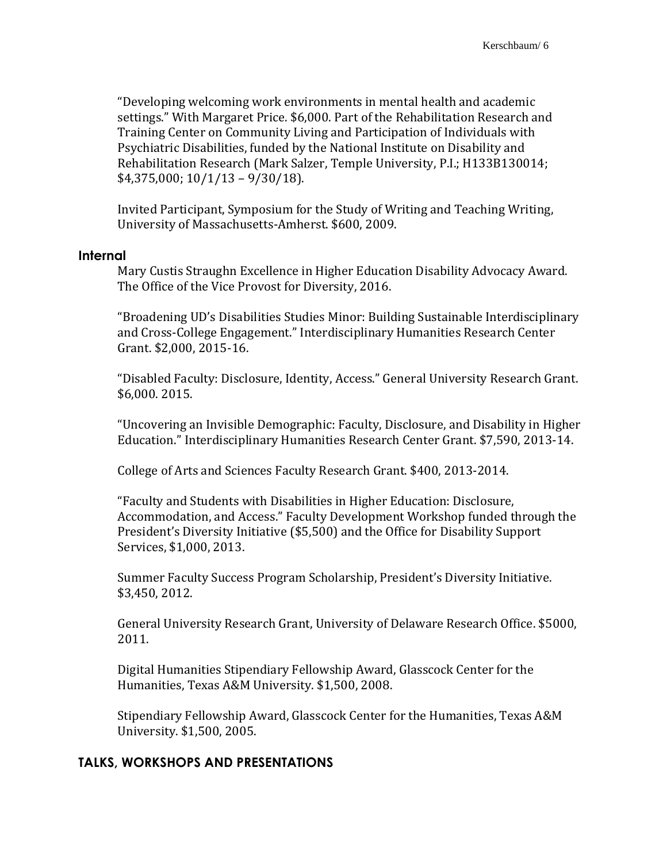"Developing welcoming work environments in mental health and academic settings." With Margaret Price. \$6,000. Part of the Rehabilitation Research and Training Center on Community Living and Participation of Individuals with Psychiatric Disabilities, funded by the National Institute on Disability and Rehabilitation Research (Mark Salzer, Temple University, P.I.; H133B130014; \$4,375,000; 10/1/13 – 9/30/18).

Invited Participant, Symposium for the Study of Writing and Teaching Writing, University of Massachusetts-Amherst. \$600, 2009.

#### **Internal**

Mary Custis Straughn Excellence in Higher Education Disability Advocacy Award. The Office of the Vice Provost for Diversity, 2016.

"Broadening UD's Disabilities Studies Minor: Building Sustainable Interdisciplinary and Cross-College Engagement." Interdisciplinary Humanities Research Center Grant. \$2,000, 2015-16.

"Disabled Faculty: Disclosure, Identity, Access." General University Research Grant. \$6,000. 2015.

"Uncovering an Invisible Demographic: Faculty, Disclosure, and Disability in Higher Education." Interdisciplinary Humanities Research Center Grant. \$7,590, 2013-14.

College of Arts and Sciences Faculty Research Grant. \$400, 2013-2014.

"Faculty and Students with Disabilities in Higher Education: Disclosure, Accommodation, and Access." Faculty Development Workshop funded through the President's Diversity Initiative (\$5,500) and the Office for Disability Support Services, \$1,000, 2013.

Summer Faculty Success Program Scholarship, President's Diversity Initiative. \$3,450, 2012.

General University Research Grant, University of Delaware Research Office. \$5000, 2011.

Digital Humanities Stipendiary Fellowship Award, Glasscock Center for the Humanities, Texas A&M University. \$1,500, 2008.

Stipendiary Fellowship Award, Glasscock Center for the Humanities, Texas A&M University. \$1,500, 2005.

#### **TALKS, WORKSHOPS AND PRESENTATIONS**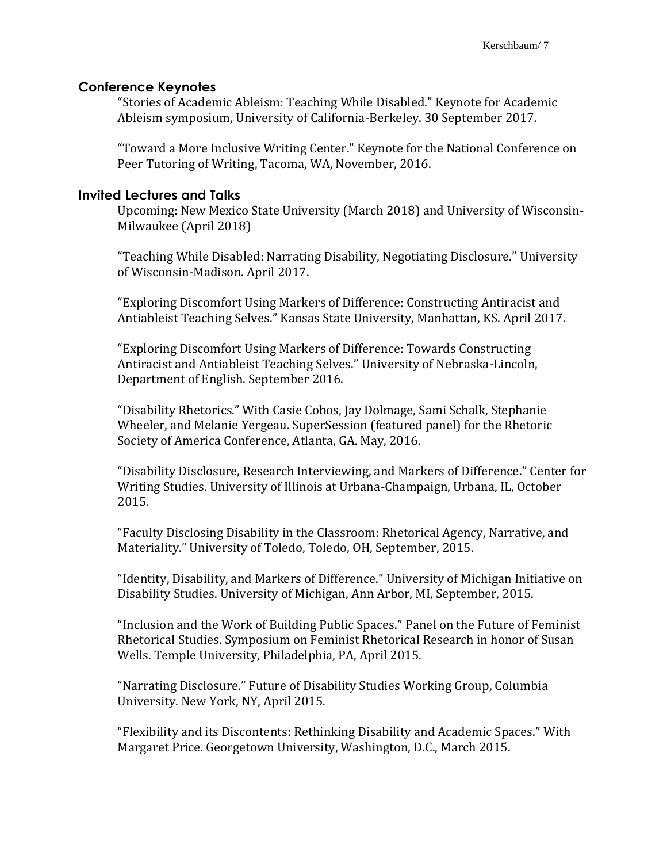## **Conference Keynotes**

"Stories of Academic Ableism: Teaching While Disabled." Keynote for Academic Ableism symposium, University of California-Berkeley. 30 September 2017.

"Toward a More Inclusive Writing Center." Keynote for the National Conference on Peer Tutoring of Writing, Tacoma, WA, November, 2016.

## **Invited Lectures and Talks**

Upcoming: New Mexico State University (March 2018) and University of Wisconsin-Milwaukee (April 2018)

"Teaching While Disabled: Narrating Disability, Negotiating Disclosure." University of Wisconsin-Madison. April 2017.

"Exploring Discomfort Using Markers of Difference: Constructing Antiracist and Antiableist Teaching Selves." Kansas State University, Manhattan, KS. April 2017.

"Exploring Discomfort Using Markers of Difference: Towards Constructing Antiracist and Antiableist Teaching Selves." University of Nebraska-Lincoln, Department of English. September 2016.

"Disability Rhetorics." With Casie Cobos, Jay Dolmage, Sami Schalk, Stephanie Wheeler, and Melanie Yergeau. SuperSession (featured panel) for the Rhetoric Society of America Conference, Atlanta, GA. May, 2016.

"Disability Disclosure, Research Interviewing, and Markers of Difference." Center for Writing Studies. University of Illinois at Urbana-Champaign, Urbana, IL, October 2015.

"Faculty Disclosing Disability in the Classroom: Rhetorical Agency, Narrative, and Materiality." University of Toledo, Toledo, OH, September, 2015.

"Identity, Disability, and Markers of Difference." University of Michigan Initiative on Disability Studies. University of Michigan, Ann Arbor, MI, September, 2015.

"Inclusion and the Work of Building Public Spaces." Panel on the Future of Feminist Rhetorical Studies. Symposium on Feminist Rhetorical Research in honor of Susan Wells. Temple University, Philadelphia, PA, April 2015.

"Narrating Disclosure." Future of Disability Studies Working Group, Columbia University. New York, NY, April 2015.

"Flexibility and its Discontents: Rethinking Disability and Academic Spaces." With Margaret Price. Georgetown University, Washington, D.C., March 2015.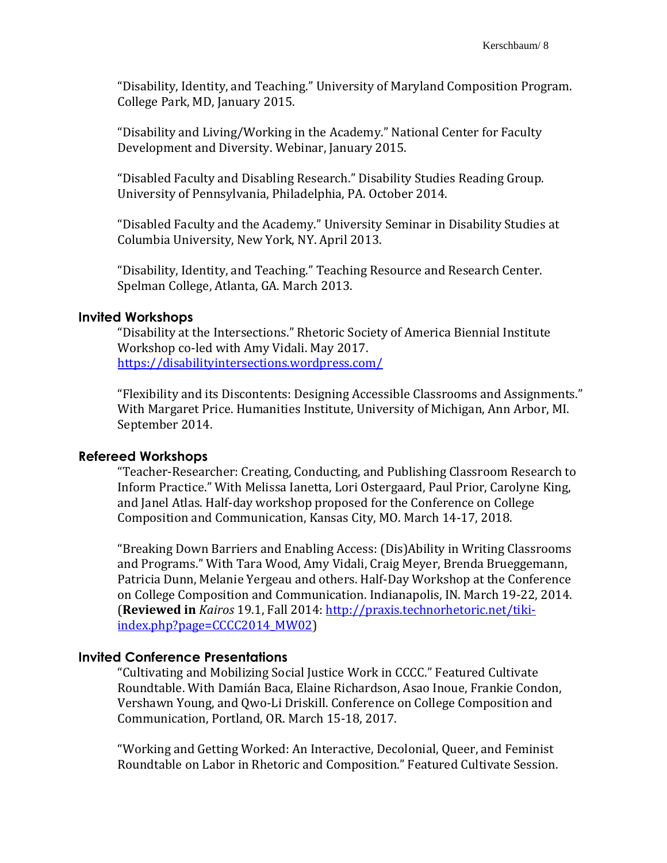"Disability, Identity, and Teaching." University of Maryland Composition Program. College Park, MD, January 2015.

"Disability and Living/Working in the Academy." National Center for Faculty Development and Diversity. Webinar, January 2015.

"Disabled Faculty and Disabling Research." Disability Studies Reading Group. University of Pennsylvania, Philadelphia, PA. October 2014.

"Disabled Faculty and the Academy." University Seminar in Disability Studies at Columbia University, New York, NY. April 2013.

"Disability, Identity, and Teaching." Teaching Resource and Research Center. Spelman College, Atlanta, GA. March 2013.

#### **Invited Workshops**

"Disability at the Intersections." Rhetoric Society of America Biennial Institute Workshop co-led with Amy Vidali. May 2017. <https://disabilityintersections.wordpress.com/>

"Flexibility and its Discontents: Designing Accessible Classrooms and Assignments." With Margaret Price. Humanities Institute, University of Michigan, Ann Arbor, MI. September 2014.

## **Refereed Workshops**

"Teacher-Researcher: Creating, Conducting, and Publishing Classroom Research to Inform Practice." With Melissa Ianetta, Lori Ostergaard, Paul Prior, Carolyne King, and Janel Atlas. Half-day workshop proposed for the Conference on College Composition and Communication, Kansas City, MO. March 14-17, 2018.

"Breaking Down Barriers and Enabling Access: (Dis)Ability in Writing Classrooms and Programs." With Tara Wood, Amy Vidali, Craig Meyer, Brenda Brueggemann, Patricia Dunn, Melanie Yergeau and others. Half-Day Workshop at the Conference on College Composition and Communication. Indianapolis, IN. March 19-22, 2014. (**Reviewed in** *Kairos* 19.1, Fall 2014: [http://praxis.technorhetoric.net/tiki](http://praxis.technorhetoric.net/tiki-index.php?page=CCCC2014_MW02)[index.php?page=CCCC2014\\_MW02\)](http://praxis.technorhetoric.net/tiki-index.php?page=CCCC2014_MW02)

#### **Invited Conference Presentations**

"Cultivating and Mobilizing Social Justice Work in CCCC." Featured Cultivate Roundtable. With Damián Baca, Elaine Richardson, Asao Inoue, Frankie Condon, Vershawn Young, and Qwo-Li Driskill. Conference on College Composition and Communication, Portland, OR. March 15-18, 2017.

"Working and Getting Worked: An Interactive, Decolonial, Queer, and Feminist Roundtable on Labor in Rhetoric and Composition." Featured Cultivate Session.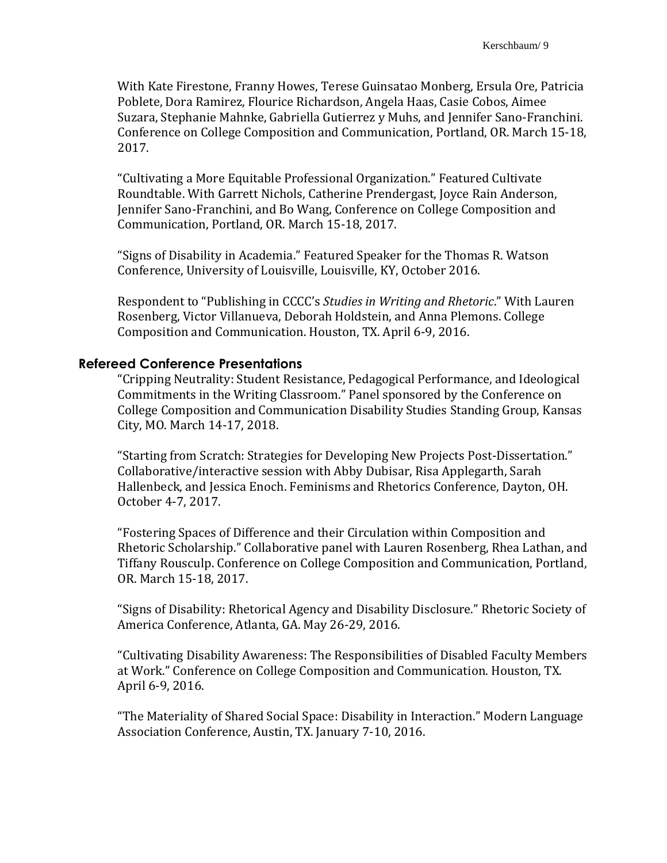With Kate Firestone, Franny Howes, Terese Guinsatao Monberg, Ersula Ore, Patricia Poblete, Dora Ramirez, Flourice Richardson, Angela Haas, Casie Cobos, Aimee Suzara, Stephanie Mahnke, Gabriella Gutierrez y Muhs, and Jennifer Sano-Franchini. Conference on College Composition and Communication, Portland, OR. March 15-18, 2017.

"Cultivating a More Equitable Professional Organization." Featured Cultivate Roundtable. With Garrett Nichols, Catherine Prendergast, Joyce Rain Anderson, Jennifer Sano-Franchini, and Bo Wang, Conference on College Composition and Communication, Portland, OR. March 15-18, 2017.

"Signs of Disability in Academia." Featured Speaker for the Thomas R. Watson Conference, University of Louisville, Louisville, KY, October 2016.

Respondent to "Publishing in CCCC's *Studies in Writing and Rhetoric*." With Lauren Rosenberg, Victor Villanueva, Deborah Holdstein, and Anna Plemons. College Composition and Communication. Houston, TX. April 6-9, 2016.

#### **Refereed Conference Presentations**

"Cripping Neutrality: Student Resistance, Pedagogical Performance, and Ideological Commitments in the Writing Classroom." Panel sponsored by the Conference on College Composition and Communication Disability Studies Standing Group, Kansas City, MO. March 14-17, 2018.

"Starting from Scratch: Strategies for Developing New Projects Post-Dissertation." Collaborative/interactive session with Abby Dubisar, Risa Applegarth, Sarah Hallenbeck, and Jessica Enoch. Feminisms and Rhetorics Conference, Dayton, OH. October 4-7, 2017.

"Fostering Spaces of Difference and their Circulation within Composition and Rhetoric Scholarship." Collaborative panel with Lauren Rosenberg, Rhea Lathan, and Tiffany Rousculp. Conference on College Composition and Communication, Portland, OR. March 15-18, 2017.

"Signs of Disability: Rhetorical Agency and Disability Disclosure." Rhetoric Society of America Conference, Atlanta, GA. May 26-29, 2016.

"Cultivating Disability Awareness: The Responsibilities of Disabled Faculty Members at Work." Conference on College Composition and Communication. Houston, TX. April 6-9, 2016.

"The Materiality of Shared Social Space: Disability in Interaction." Modern Language Association Conference, Austin, TX. January 7-10, 2016.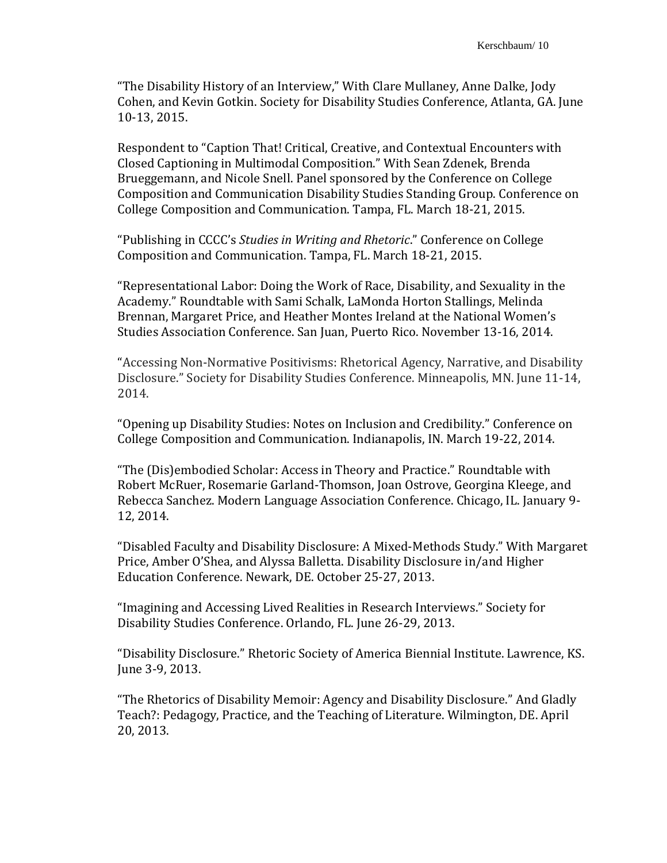"The Disability History of an Interview," With Clare Mullaney, Anne Dalke, Jody Cohen, and Kevin Gotkin. Society for Disability Studies Conference, Atlanta, GA. June 10-13, 2015.

Respondent to "Caption That! Critical, Creative, and Contextual Encounters with Closed Captioning in Multimodal Composition." With Sean Zdenek, Brenda Brueggemann, and Nicole Snell. Panel sponsored by the Conference on College Composition and Communication Disability Studies Standing Group. Conference on College Composition and Communication. Tampa, FL. March 18-21, 2015.

"Publishing in CCCC's *Studies in Writing and Rhetoric*." Conference on College Composition and Communication. Tampa, FL. March 18-21, 2015.

"Representational Labor: Doing the Work of Race, Disability, and Sexuality in the Academy." Roundtable with Sami Schalk, LaMonda Horton Stallings, Melinda Brennan, Margaret Price, and Heather Montes Ireland at the National Women's Studies Association Conference. San Juan, Puerto Rico. November 13-16, 2014.

"Accessing Non-Normative Positivisms: Rhetorical Agency, Narrative, and Disability Disclosure." Society for Disability Studies Conference. Minneapolis, MN. June 11-14, 2014.

"Opening up Disability Studies: Notes on Inclusion and Credibility." Conference on College Composition and Communication. Indianapolis, IN. March 19-22, 2014.

"The (Dis)embodied Scholar: Access in Theory and Practice." Roundtable with Robert McRuer, Rosemarie Garland-Thomson, Joan Ostrove, Georgina Kleege, and Rebecca Sanchez. Modern Language Association Conference. Chicago, IL. January 9- 12, 2014.

"Disabled Faculty and Disability Disclosure: A Mixed-Methods Study." With Margaret Price, Amber O'Shea, and Alyssa Balletta. Disability Disclosure in/and Higher Education Conference. Newark, DE. October 25-27, 2013.

"Imagining and Accessing Lived Realities in Research Interviews." Society for Disability Studies Conference. Orlando, FL. June 26-29, 2013.

"Disability Disclosure." Rhetoric Society of America Biennial Institute. Lawrence, KS. June 3-9, 2013.

"The Rhetorics of Disability Memoir: Agency and Disability Disclosure." And Gladly Teach?: Pedagogy, Practice, and the Teaching of Literature. Wilmington, DE. April 20, 2013.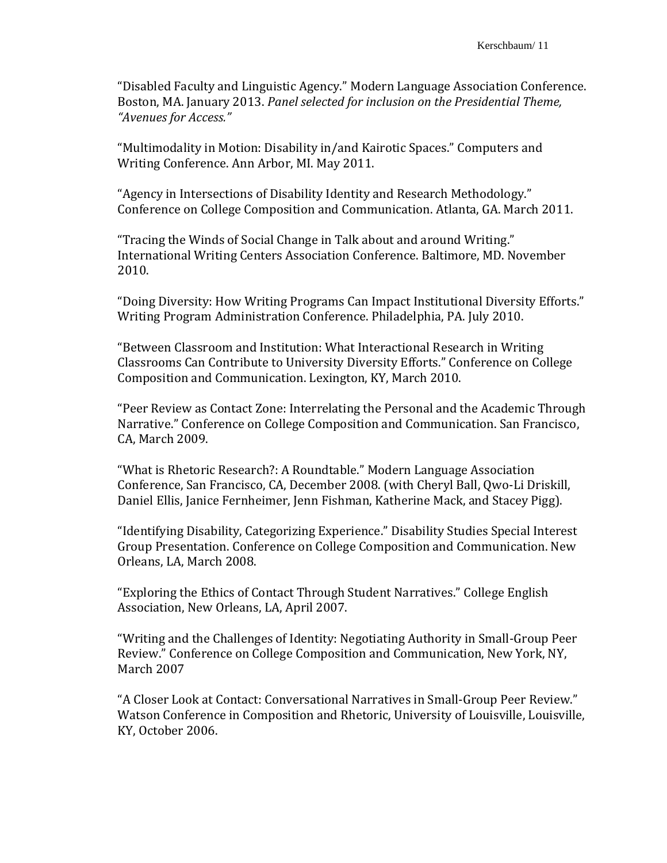"Disabled Faculty and Linguistic Agency." Modern Language Association Conference. Boston, MA. January 2013. *Panel selected for inclusion on the Presidential Theme, "Avenues for Access."*

"Multimodality in Motion: Disability in/and Kairotic Spaces." Computers and Writing Conference. Ann Arbor, MI. May 2011.

"Agency in Intersections of Disability Identity and Research Methodology." Conference on College Composition and Communication. Atlanta, GA. March 2011.

"Tracing the Winds of Social Change in Talk about and around Writing." International Writing Centers Association Conference. Baltimore, MD. November 2010.

"Doing Diversity: How Writing Programs Can Impact Institutional Diversity Efforts." Writing Program Administration Conference. Philadelphia, PA. July 2010.

"Between Classroom and Institution: What Interactional Research in Writing Classrooms Can Contribute to University Diversity Efforts." Conference on College Composition and Communication. Lexington, KY, March 2010.

"Peer Review as Contact Zone: Interrelating the Personal and the Academic Through Narrative." Conference on College Composition and Communication. San Francisco, CA, March 2009.

"What is Rhetoric Research?: A Roundtable." Modern Language Association Conference, San Francisco, CA, December 2008. (with Cheryl Ball, Qwo-Li Driskill, Daniel Ellis, Janice Fernheimer, Jenn Fishman, Katherine Mack, and Stacey Pigg).

"Identifying Disability, Categorizing Experience." Disability Studies Special Interest Group Presentation. Conference on College Composition and Communication. New Orleans, LA, March 2008.

"Exploring the Ethics of Contact Through Student Narratives." College English Association, New Orleans, LA, April 2007.

"Writing and the Challenges of Identity: Negotiating Authority in Small-Group Peer Review." Conference on College Composition and Communication, New York, NY, March 2007

"A Closer Look at Contact: Conversational Narratives in Small-Group Peer Review." Watson Conference in Composition and Rhetoric, University of Louisville, Louisville, KY, October 2006.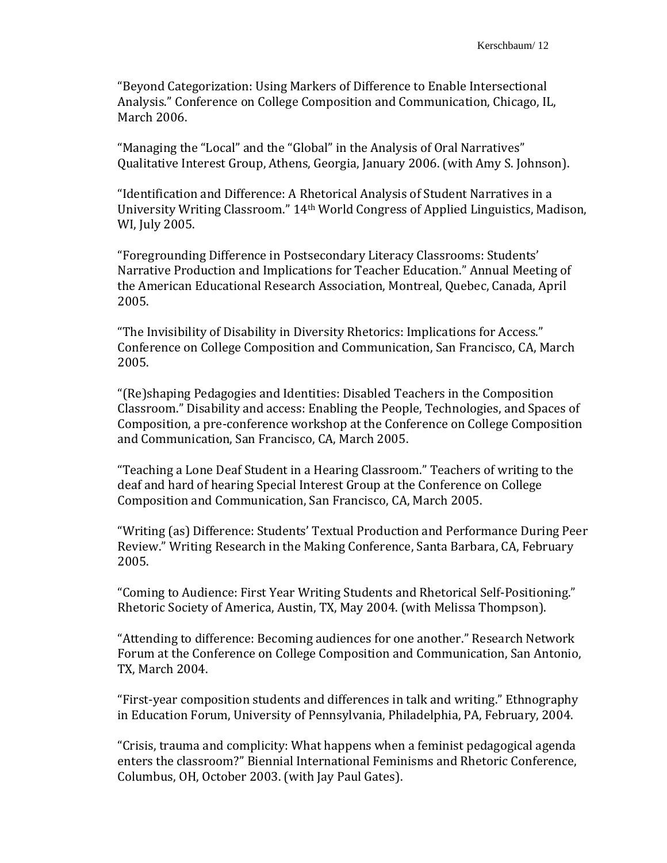"Beyond Categorization: Using Markers of Difference to Enable Intersectional Analysis." Conference on College Composition and Communication, Chicago, IL, March 2006.

"Managing the "Local" and the "Global" in the Analysis of Oral Narratives" Qualitative Interest Group, Athens, Georgia, January 2006. (with Amy S. Johnson).

"Identification and Difference: A Rhetorical Analysis of Student Narratives in a University Writing Classroom." 14th World Congress of Applied Linguistics, Madison, WI, July 2005.

"Foregrounding Difference in Postsecondary Literacy Classrooms: Students' Narrative Production and Implications for Teacher Education." Annual Meeting of the American Educational Research Association, Montreal, Quebec, Canada, April 2005.

"The Invisibility of Disability in Diversity Rhetorics: Implications for Access." Conference on College Composition and Communication, San Francisco, CA, March 2005.

"(Re)shaping Pedagogies and Identities: Disabled Teachers in the Composition Classroom." Disability and access: Enabling the People, Technologies, and Spaces of Composition, a pre-conference workshop at the Conference on College Composition and Communication, San Francisco, CA, March 2005.

"Teaching a Lone Deaf Student in a Hearing Classroom." Teachers of writing to the deaf and hard of hearing Special Interest Group at the Conference on College Composition and Communication, San Francisco, CA, March 2005.

"Writing (as) Difference: Students' Textual Production and Performance During Peer Review." Writing Research in the Making Conference, Santa Barbara, CA, February 2005.

"Coming to Audience: First Year Writing Students and Rhetorical Self-Positioning." Rhetoric Society of America, Austin, TX, May 2004. (with Melissa Thompson).

"Attending to difference: Becoming audiences for one another." Research Network Forum at the Conference on College Composition and Communication, San Antonio, TX, March 2004.

"First-year composition students and differences in talk and writing." Ethnography in Education Forum, University of Pennsylvania, Philadelphia, PA, February, 2004.

"Crisis, trauma and complicity: What happens when a feminist pedagogical agenda enters the classroom?" Biennial International Feminisms and Rhetoric Conference, Columbus, OH, October 2003. (with Jay Paul Gates).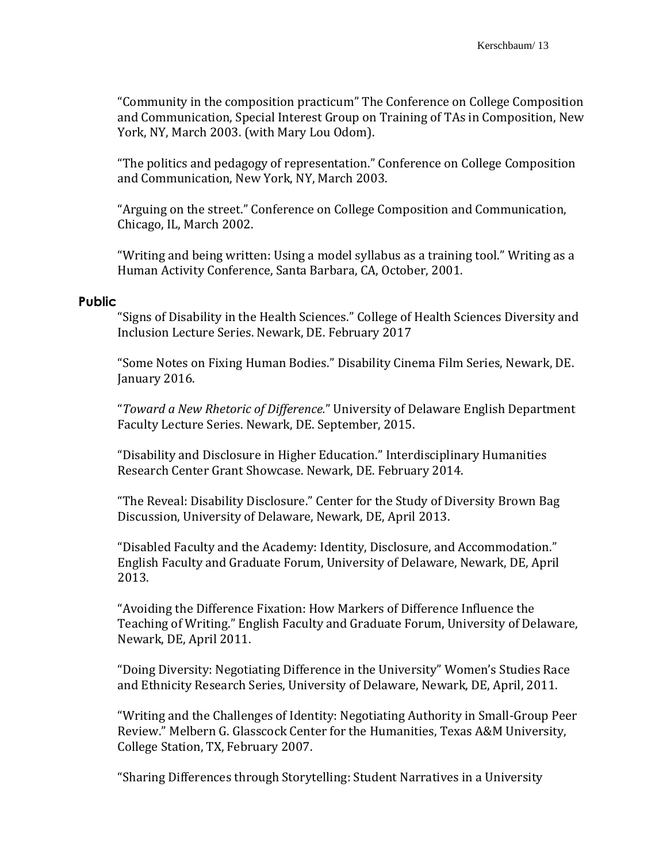"Community in the composition practicum" The Conference on College Composition and Communication, Special Interest Group on Training of TAs in Composition, New York, NY, March 2003. (with Mary Lou Odom).

"The politics and pedagogy of representation." Conference on College Composition and Communication, New York, NY, March 2003.

"Arguing on the street." Conference on College Composition and Communication, Chicago, IL, March 2002.

"Writing and being written: Using a model syllabus as a training tool." Writing as a Human Activity Conference, Santa Barbara, CA, October, 2001.

# **Public**

"Signs of Disability in the Health Sciences." College of Health Sciences Diversity and Inclusion Lecture Series. Newark, DE. February 2017

"Some Notes on Fixing Human Bodies." Disability Cinema Film Series, Newark, DE. January 2016.

"*Toward a New Rhetoric of Difference.*" University of Delaware English Department Faculty Lecture Series. Newark, DE. September, 2015.

"Disability and Disclosure in Higher Education." Interdisciplinary Humanities Research Center Grant Showcase. Newark, DE. February 2014.

"The Reveal: Disability Disclosure." Center for the Study of Diversity Brown Bag Discussion, University of Delaware, Newark, DE, April 2013.

"Disabled Faculty and the Academy: Identity, Disclosure, and Accommodation." English Faculty and Graduate Forum, University of Delaware, Newark, DE, April 2013.

"Avoiding the Difference Fixation: How Markers of Difference Influence the Teaching of Writing." English Faculty and Graduate Forum, University of Delaware, Newark, DE, April 2011.

"Doing Diversity: Negotiating Difference in the University" Women's Studies Race and Ethnicity Research Series, University of Delaware, Newark, DE, April, 2011.

"Writing and the Challenges of Identity: Negotiating Authority in Small-Group Peer Review." Melbern G. Glasscock Center for the Humanities, Texas A&M University, College Station, TX, February 2007.

"Sharing Differences through Storytelling: Student Narratives in a University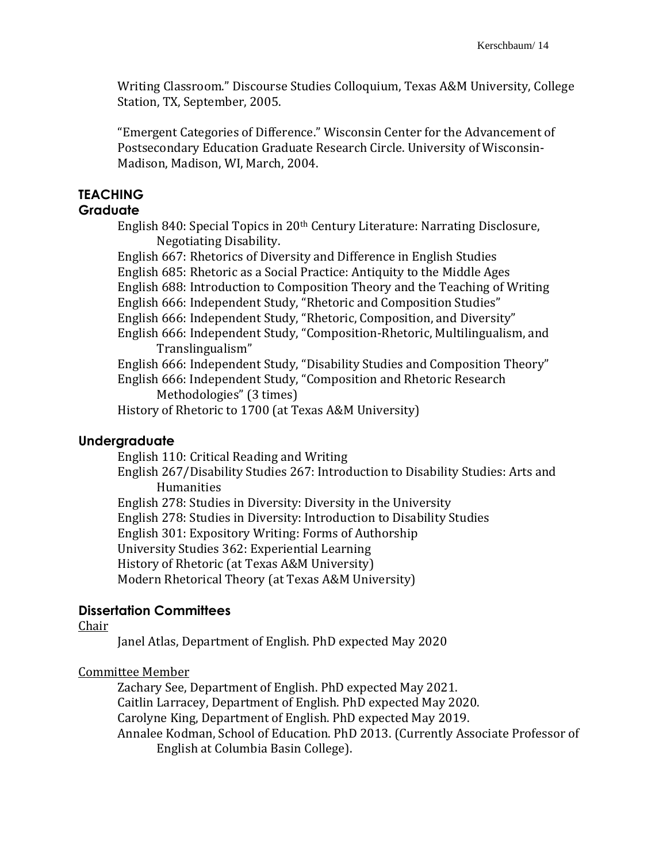Writing Classroom." Discourse Studies Colloquium, Texas A&M University, College Station, TX, September, 2005.

"Emergent Categories of Difference." Wisconsin Center for the Advancement of Postsecondary Education Graduate Research Circle. University of Wisconsin-Madison, Madison, WI, March, 2004.

# **TEACHING**

# **Graduate**

English 840: Special Topics in 20th Century Literature: Narrating Disclosure, Negotiating Disability.

English 667: Rhetorics of Diversity and Difference in English Studies English 685: Rhetoric as a Social Practice: Antiquity to the Middle Ages English 688: Introduction to Composition Theory and the Teaching of Writing English 666: Independent Study, "Rhetoric and Composition Studies" English 666: Independent Study, "Rhetoric, Composition, and Diversity" English 666: Independent Study, "Composition-Rhetoric, Multilingualism, and Translingualism" English 666: Independent Study, "Disability Studies and Composition Theory" English 666: Independent Study, "Composition and Rhetoric Research Methodologies" (3 times) History of Rhetoric to 1700 (at Texas A&M University)

## **Undergraduate**

English 110: Critical Reading and Writing

English 267/Disability Studies 267: Introduction to Disability Studies: Arts and Humanities

English 278: Studies in Diversity: Diversity in the University English 278: Studies in Diversity: Introduction to Disability Studies English 301: Expository Writing: Forms of Authorship University Studies 362: Experiential Learning History of Rhetoric (at Texas A&M University) Modern Rhetorical Theory (at Texas A&M University)

## **Dissertation Committees**

#### Chair

Janel Atlas, Department of English. PhD expected May 2020

## Committee Member

Zachary See, Department of English. PhD expected May 2021. Caitlin Larracey, Department of English. PhD expected May 2020. Carolyne King, Department of English. PhD expected May 2019. Annalee Kodman, School of Education. PhD 2013. (Currently Associate Professor of English at Columbia Basin College).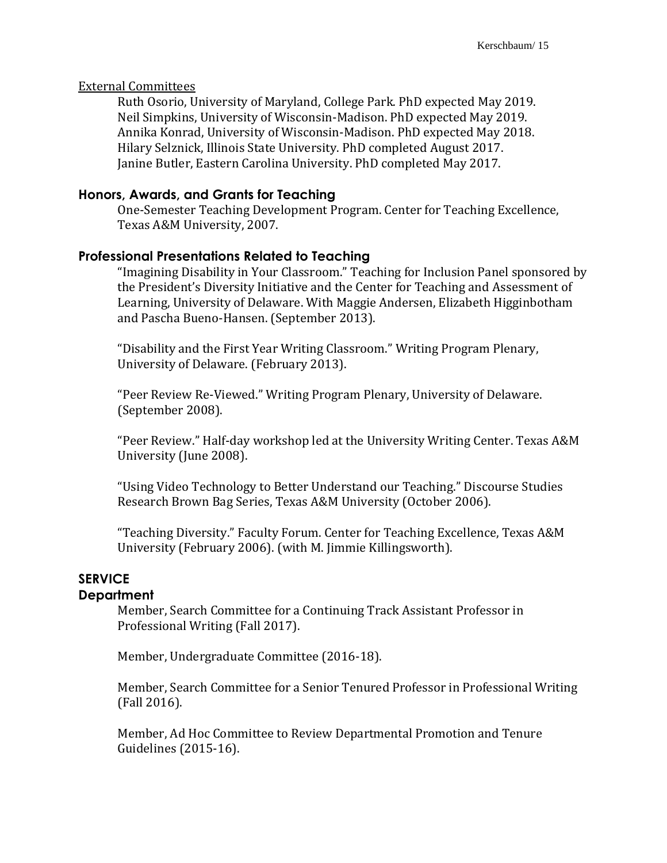#### External Committees

Ruth Osorio, University of Maryland, College Park. PhD expected May 2019. Neil Simpkins, University of Wisconsin-Madison. PhD expected May 2019. Annika Konrad, University of Wisconsin-Madison. PhD expected May 2018. Hilary Selznick, Illinois State University. PhD completed August 2017. Janine Butler, Eastern Carolina University. PhD completed May 2017.

## **Honors, Awards, and Grants for Teaching**

One-Semester Teaching Development Program. Center for Teaching Excellence, Texas A&M University, 2007.

## **Professional Presentations Related to Teaching**

"Imagining Disability in Your Classroom." Teaching for Inclusion Panel sponsored by the President's Diversity Initiative and the Center for Teaching and Assessment of Learning, University of Delaware. With Maggie Andersen, Elizabeth Higginbotham and Pascha Bueno-Hansen. (September 2013).

"Disability and the First Year Writing Classroom." Writing Program Plenary, University of Delaware. (February 2013).

"Peer Review Re-Viewed." Writing Program Plenary, University of Delaware. (September 2008).

"Peer Review." Half-day workshop led at the University Writing Center. Texas A&M University (June 2008).

"Using Video Technology to Better Understand our Teaching." Discourse Studies Research Brown Bag Series, Texas A&M University (October 2006).

"Teaching Diversity." Faculty Forum. Center for Teaching Excellence, Texas A&M University (February 2006). (with M. Jimmie Killingsworth).

# **SERVICE**

#### **Department**

Member, Search Committee for a Continuing Track Assistant Professor in Professional Writing (Fall 2017).

Member, Undergraduate Committee (2016-18).

Member, Search Committee for a Senior Tenured Professor in Professional Writing (Fall 2016).

Member, Ad Hoc Committee to Review Departmental Promotion and Tenure Guidelines (2015-16).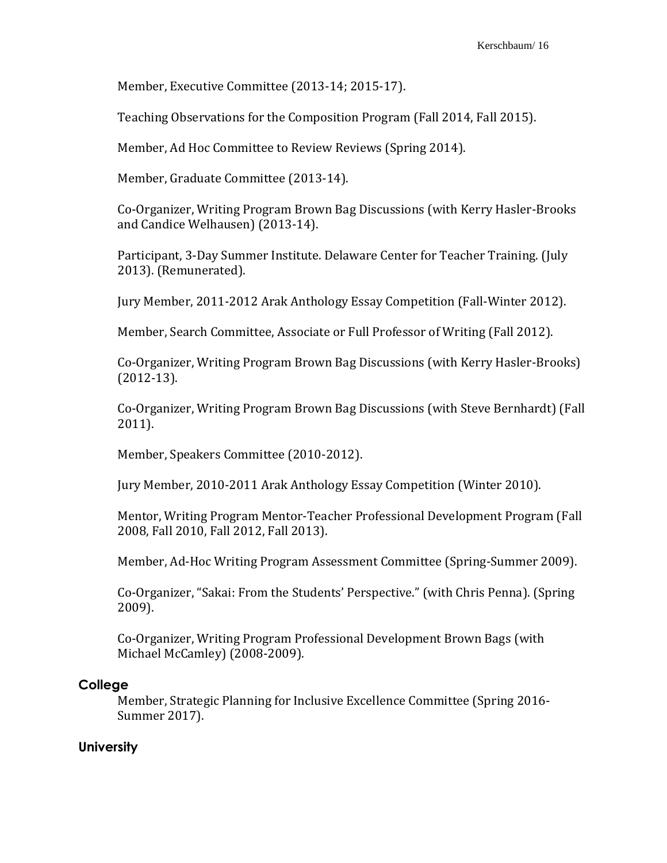Member, Executive Committee (2013-14; 2015-17).

Teaching Observations for the Composition Program (Fall 2014, Fall 2015).

Member, Ad Hoc Committee to Review Reviews (Spring 2014).

Member, Graduate Committee (2013-14).

Co-Organizer, Writing Program Brown Bag Discussions (with Kerry Hasler-Brooks and Candice Welhausen) (2013-14).

Participant, 3-Day Summer Institute. Delaware Center for Teacher Training. (July 2013). (Remunerated).

Jury Member, 2011-2012 Arak Anthology Essay Competition (Fall-Winter 2012).

Member, Search Committee, Associate or Full Professor of Writing (Fall 2012).

Co-Organizer, Writing Program Brown Bag Discussions (with Kerry Hasler-Brooks) (2012-13).

Co-Organizer, Writing Program Brown Bag Discussions (with Steve Bernhardt) (Fall 2011).

Member, Speakers Committee (2010-2012).

Jury Member, 2010-2011 Arak Anthology Essay Competition (Winter 2010).

Mentor, Writing Program Mentor-Teacher Professional Development Program (Fall 2008, Fall 2010, Fall 2012, Fall 2013).

Member, Ad-Hoc Writing Program Assessment Committee (Spring-Summer 2009).

Co-Organizer, "Sakai: From the Students' Perspective." (with Chris Penna). (Spring 2009).

Co-Organizer, Writing Program Professional Development Brown Bags (with Michael McCamley) (2008-2009).

#### **College**

Member, Strategic Planning for Inclusive Excellence Committee (Spring 2016- Summer 2017).

#### **University**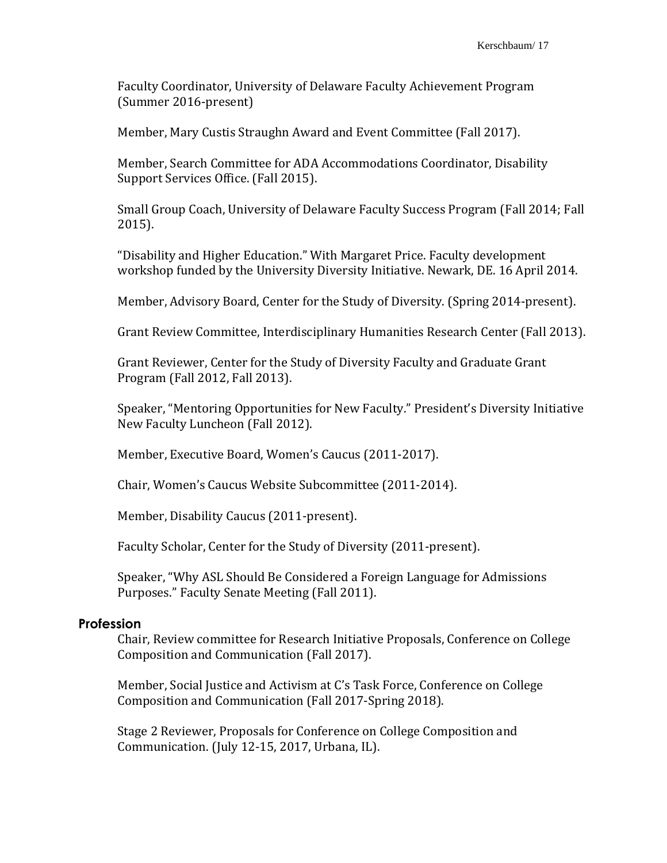Faculty Coordinator, University of Delaware Faculty Achievement Program (Summer 2016-present)

Member, Mary Custis Straughn Award and Event Committee (Fall 2017).

Member, Search Committee for ADA Accommodations Coordinator, Disability Support Services Office. (Fall 2015).

Small Group Coach, University of Delaware Faculty Success Program (Fall 2014; Fall 2015).

"Disability and Higher Education." With Margaret Price. Faculty development workshop funded by the University Diversity Initiative. Newark, DE. 16 April 2014.

Member, Advisory Board, Center for the Study of Diversity. (Spring 2014-present).

Grant Review Committee, Interdisciplinary Humanities Research Center (Fall 2013).

Grant Reviewer, Center for the Study of Diversity Faculty and Graduate Grant Program (Fall 2012, Fall 2013).

Speaker, "Mentoring Opportunities for New Faculty." President's Diversity Initiative New Faculty Luncheon (Fall 2012).

Member, Executive Board, Women's Caucus (2011-2017).

Chair, Women's Caucus Website Subcommittee (2011-2014).

Member, Disability Caucus (2011-present).

Faculty Scholar, Center for the Study of Diversity (2011-present).

Speaker, "Why ASL Should Be Considered a Foreign Language for Admissions Purposes." Faculty Senate Meeting (Fall 2011).

## **Profession**

Chair, Review committee for Research Initiative Proposals, Conference on College Composition and Communication (Fall 2017).

Member, Social Justice and Activism at C's Task Force, Conference on College Composition and Communication (Fall 2017-Spring 2018).

Stage 2 Reviewer, Proposals for Conference on College Composition and Communication. (July 12-15, 2017, Urbana, IL).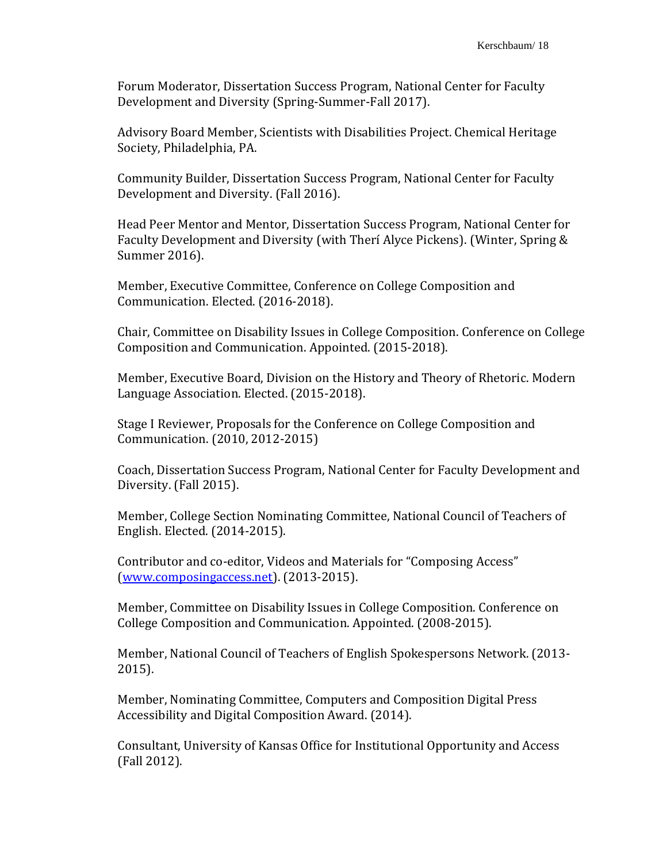Forum Moderator, Dissertation Success Program, National Center for Faculty Development and Diversity (Spring-Summer-Fall 2017).

Advisory Board Member, Scientists with Disabilities Project. Chemical Heritage Society, Philadelphia, PA.

Community Builder, Dissertation Success Program, National Center for Faculty Development and Diversity. (Fall 2016).

Head Peer Mentor and Mentor, Dissertation Success Program, National Center for Faculty Development and Diversity (with Therí Alyce Pickens). (Winter, Spring & Summer 2016).

Member, Executive Committee, Conference on College Composition and Communication. Elected. (2016-2018).

Chair, Committee on Disability Issues in College Composition. Conference on College Composition and Communication. Appointed. (2015-2018).

Member, Executive Board, Division on the History and Theory of Rhetoric. Modern Language Association. Elected. (2015-2018).

Stage I Reviewer, Proposals for the Conference on College Composition and Communication. (2010, 2012-2015)

Coach, Dissertation Success Program, National Center for Faculty Development and Diversity. (Fall 2015).

Member, College Section Nominating Committee, National Council of Teachers of English. Elected. (2014-2015).

Contributor and co-editor, Videos and Materials for "Composing Access" [\(www.composingaccess.net\)](http://www.composingaccess.net/). (2013-2015).

Member, Committee on Disability Issues in College Composition. Conference on College Composition and Communication. Appointed. (2008-2015).

Member, National Council of Teachers of English Spokespersons Network. (2013- 2015).

Member, Nominating Committee, Computers and Composition Digital Press Accessibility and Digital Composition Award. (2014).

Consultant, University of Kansas Office for Institutional Opportunity and Access (Fall 2012).